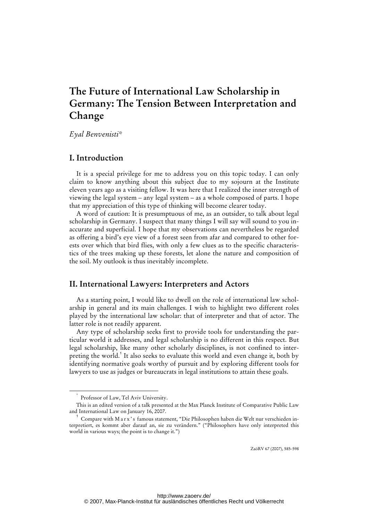# **The Future of International Law Scholarship in Germany: The Tension Between Interpretation and Change**

*Eyal Benvenisti\** 

## **I. Introduction**

It is a special privilege for me to address you on this topic today. I can only claim to know anything about this subject due to my sojourn at the Institute eleven years ago as a visiting fellow. It was here that I realized the inner strength of viewing the legal system – any legal system – as a whole composed of parts. I hope that my appreciation of this type of thinking will become clearer today.

A word of caution: It is presumptuous of me, as an outsider, to talk about legal scholarship in Germany. I suspect that many things I will say will sound to you inaccurate and superficial. I hope that my observations can nevertheless be regarded as offering a bird's eye view of a forest seen from afar and compared to other forests over which that bird flies, with only a few clues as to the specific characteristics of the trees making up these forests, let alone the nature and composition of the soil. My outlook is thus inevitably incomplete.

# **II. International Lawyers: Interpreters and Actors**

As a starting point, I would like to dwell on the role of international law scholarship in general and its main challenges. I wish to highlight two different roles played by the international law scholar: that of interpreter and that of actor. The latter role is not readily apparent.

Any type of scholarship seeks first to provide tools for understanding the particular world it addresses, and legal scholarship is no different in this respect. But legal scholarship, like many other scholarly disciplines, is not confined to interpreting the world.<sup>1</sup> It also seeks to evaluate this world and even change it, both by identifying normative goals worthy of pursuit and by exploring different tools for lawyers to use as judges or bureaucrats in legal institutions to attain these goals.

\*

ZaöRV 67 (2007), 585-598

Professor of Law, Tel Aviv University.

This is an edited version of a talk presented at the Max Planck Institute of Comparative Public Law and International Law on January 16, 2007.

<sup>&</sup>lt;sup>1</sup> Compare with M a r x 's famous statement, "Die Philosophen haben die Welt nur verschieden interpretiert, es kommt aber darauf an, sie zu verändern." ("Philosophers have only interpreted this world in various ways; the point is to change it.")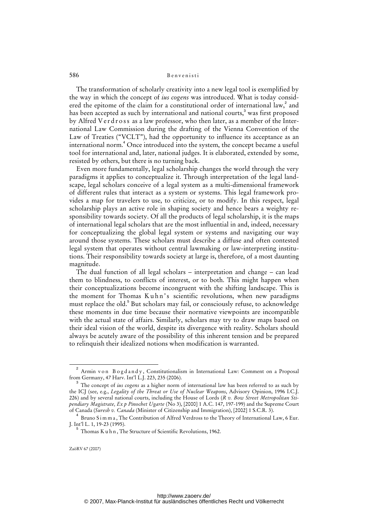The transformation of scholarly creativity into a new legal tool is exemplified by the way in which the concept of *ius cogens* was introduced. What is today considered the epitome of the claim for a constitutional order of international law,<sup>2</sup> and has been accepted as such by international and national courts, $^3$  was first proposed by Alfred V e r d r o s s as a law professor, who then later, as a member of the International Law Commission during the drafting of the Vienna Convention of the Law of Treaties ("VCLT"), had the opportunity to influence its acceptance as an international norm.<sup>4</sup> Once introduced into the system, the concept became a useful tool for international and, later, national judges. It is elaborated, extended by some, resisted by others, but there is no turning back.

Even more fundamentally, legal scholarship changes the world through the very paradigms it applies to conceptualize it. Through interpretation of the legal landscape, legal scholars conceive of a legal system as a multi-dimensional framework of different rules that interact as a system or systems. This legal framework provides a map for travelers to use, to criticize, or to modify. In this respect, legal scholarship plays an active role in shaping society and hence bears a weighty responsibility towards society. Of all the products of legal scholarship, it is the maps of international legal scholars that are the most influential in and, indeed, necessary for conceptualizing the global legal system or systems and navigating our way around those systems. These scholars must describe a diffuse and often contested legal system that operates without central lawmaking or law-interpreting institutions. Their responsibility towards society at large is, therefore, of a most daunting magnitude.

The dual function of all legal scholars – interpretation and change – can lead them to blindness, to conflicts of interest, or to both. This might happen when their conceptualizations become incongruent with the shifting landscape. This is the moment for Thomas Kuhn's scientific revolutions, when new paradigms must replace the old.<sup>5</sup> But scholars may fail, or consciously refuse, to acknowledge these moments in due time because their normative viewpoints are incompatible with the actual state of affairs. Similarly, scholars may try to draw maps based on their ideal vision of the world, despite its divergence with reality. Scholars should always be acutely aware of the possibility of this inherent tension and be prepared to relinquish their idealized notions when modification is warranted.

and a set of the constant of a set of the set of a minimum of a set of a set of a set of a set of a set of a s<br>Armin von Bogdandy, Constitutionalism in International Law: Comment on a Proposal from Germany, 47 Harv. Int'l L.J. 223, 235 (2006).

<sup>3</sup> The concept of *ius cogens* as a higher norm of international law has been referred to as such by the ICJ (see, e.g., *Legality of the Threat or Use of Nuclear Weapons*, Advisory Opinion, 1996 I.C.J. 226) and by several national courts, including the House of Lords (*R v. Bow Street Metropolitan Stipendiary Magistrate, Ex p Pinochet Ugarte* (No 3), [2000] 1 A.C. 147, 197-199) and the Supreme Court of Canada (*Suresh v. Canada* (Minister of Citizenship and Immigration), [2002] 1 S.C.R. 3).

<sup>4</sup> Bruno S i m m a, The Contribution of Alfred Verdross to the Theory of International Law, 6 Eur. J. Int'l L. 1, 19-23 (1995).

 $^5$  Thomas K u h n , The Structure of Scientific Revolutions, 1962.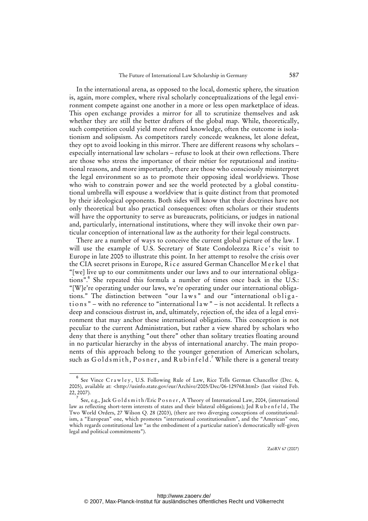In the international arena, as opposed to the local, domestic sphere, the situation is, again, more complex, where rival scholarly conceptualizations of the legal environment compete against one another in a more or less open marketplace of ideas. This open exchange provides a mirror for all to scrutinize themselves and ask whether they are still the better drafters of the global map. While, theoretically, such competition could yield more refined knowledge, often the outcome is isolationism and solipsism. As competitors rarely concede weakness, let alone defeat, they opt to avoid looking in this mirror. There are different reasons why scholars – especially international law scholars – refuse to look at their own reflections. There are those who stress the importance of their métier for reputational and institutional reasons, and more importantly, there are those who consciously misinterpret the legal environment so as to promote their opposing ideal worldviews. Those who wish to constrain power and see the world protected by a global constitutional umbrella will espouse a worldview that is quite distinct from that promoted by their ideological opponents. Both sides will know that their doctrines have not only theoretical but also practical consequences: often scholars or their students will have the opportunity to serve as bureaucrats, politicians, or judges in national and, particularly, international institutions, where they will invoke their own particular conception of international law as the authority for their legal constructs.

There are a number of ways to conceive the current global picture of the law. I will use the example of U.S. Secretary of State Condoleezza Rice's visit to Europe in late 2005 to illustrate this point. In her attempt to resolve the crisis over the CIA secret prisons in Europe, Rice assured German Chancellor Merkel that "[we] live up to our commitments under our laws and to our international obligations".<sup>6</sup> She repeated this formula a number of times once back in the U.S.: "[W]e're operating under our laws, we're operating under our international obligations." The distinction between "our laws" and our "international obligations" – with no reference to "international  $l$  a w" – is not accidental. It reflects a deep and conscious distrust in, and, ultimately, rejection of, the idea of a legal environment that may anchor these international obligations. This conception is not peculiar to the current Administration, but rather a view shared by scholars who deny that there is anything "out there" other than solitary treaties floating around in no particular hierarchy in the abyss of international anarchy. The main proponents of this approach belong to the younger generation of American scholars, such as  $Goldsmith, Posner,$  and  $Rubinfeld.$ <sup>7</sup> While there is a general treaty

 $\overline{\phantom{0}}$ See Vince Crawley, U.S. Following Rule of Law, Rice Tells German Chancellor (Dec. 6, 2005), available at: <[http://usinfo.state.gov/eur/Archive/2005/Dec/06-129768.html>](http://usinfo.state.gov/eur/Archive/2005/Dec/06-129768.html) (last visited Feb. 22, 2007).

<sup>7</sup> See, e.g., Jack G o l d s m i t h / Eric P o s n e r, A Theory of International Law, 2004, (international law as reflecting short-term interests of states and their bilateral obligations); Jed Rubenfeld, The Two World Orders, 27 Wilson Q. 28 (2003), (there are two diverging conceptions of constitutionalism, a "European" one, which promotes "international constitutionalism", and the "American" one, which regards constitutional law "as the embodiment of a particular nation's democratically self-given legal and political commitments").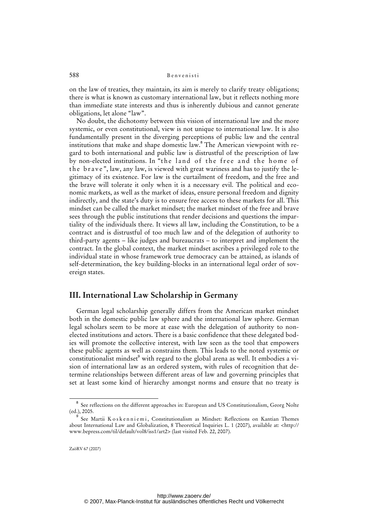on the law of treaties, they maintain, its aim is merely to clarify treaty obligations; there is what is known as customary international law, but it reflects nothing more than immediate state interests and thus is inherently dubious and cannot generate obligations, let alone "law".

No doubt, the dichotomy between this vision of international law and the more systemic, or even constitutional, view is not unique to international law. It is also fundamentally present in the diverging perceptions of public law and the central institutions that make and shape domestic law.<sup>8</sup> The American viewpoint with regard to both international and public law is distrustful of the prescription of law by non-elected institutions. In "the land of the free and the home of the brave", law, any law, is viewed with great wariness and has to justify the legitimacy of its existence. For law is the curtailment of freedom, and the free and the brave will tolerate it only when it is a necessary evil. The political and economic markets, as well as the market of ideas, ensure personal freedom and dignity indirectly, and the state's duty is to ensure free access to these markets for all. This mindset can be called the market mindset; the market mindset of the free and brave sees through the public institutions that render decisions and questions the impartiality of the individuals there. It views all law, including the Constitution, to be a contract and is distrustful of too much law and of the delegation of authority to third-party agents – like judges and bureaucrats – to interpret and implement the contract. In the global context, the market mindset ascribes a privileged role to the individual state in whose framework true democracy can be attained, as islands of self-determination, the key building-blocks in an international legal order of sovereign states.

# **III. International Law Scholarship in Germany**

German legal scholarship generally differs from the American market mindset both in the domestic public law sphere and the international law sphere. German legal scholars seem to be more at ease with the delegation of authority to nonelected institutions and actors. There is a basic confidence that these delegated bodies will promote the collective interest, with law seen as the tool that empowers these public agents as well as constrains them. This leads to the noted systemic or constitutionalist mindset $^{\circ}$  with regard to the global arena as well. It embodies a vision of international law as an ordered system, with rules of recognition that determine relationships between different areas of law and governing principles that set at least some kind of hierarchy amongst norms and ensure that no treaty is

<sup>8</sup> See reflections on the different approaches in: European and US Constitutionalism, Georg Nolte (ed.), 2005.

<sup>9</sup> See Martii K os k e n n i e m i, Constitutionalism as Mindset: Reflections on Kantian Themes [about International Law and Globalization, 8 Theoretical Inquiries L. 1 \(2007\), available at: <http://](http://www.bepress.com/til/default/vol8/iss1/art2) www.bepress.com/til/default/vol8/iss1/art2> (last visited Feb. 22, 2007).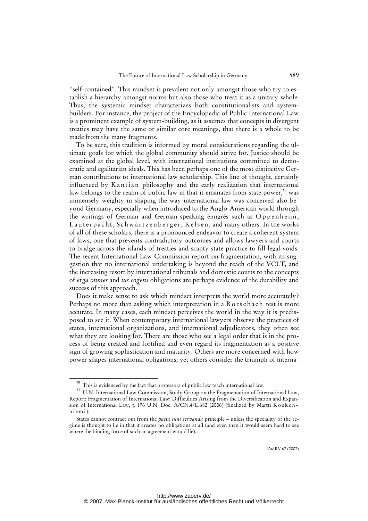"self-contained". This mindset is prevalent not only amongst those who try to establish a hierarchy amongst norms but also those who treat it as a unitary whole. Thus, the systemic mindset characterizes both constitutionalists and systembuilders. For instance, the project of the Encyclopedia of Public International Law is a prominent example of system-building, as it assumes that concepts in divergent treaties may have the same or similar core meanings, that there is a whole to be made from the many fragments.

To be sure, this tradition is informed by moral considerations regarding the ultimate goals for which the global community should strive for. Justice should be examined at the global level, with international institutions committed to democratic and egalitarian ideals. This has been perhaps one of the most distinctive German contributions to international law scholarship. This line of thought, certainly influenced by Kantian philosophy and the early realization that international law belongs to the realm of public law in that it emanates from state power,<sup>10</sup> was immensely weighty in shaping the way international law was conceived also beyond Germany, especially when introduced to the Anglo-American world through the writings of German and German-speaking émigrés such as Oppenheim, Lauterpacht, Schwartzenberger, Kelsen, and many others. In the works of all of these scholars, there is a pronounced endeavor to create a coherent system of laws, one that prevents contradictory outcomes and allows lawyers and courts to bridge across the islands of treaties and scanty state practice to fill legal voids. The recent International Law Commission report on fragmentation, with its suggestion that no international undertaking is beyond the reach of the VCLT, and the increasing resort by international tribunals and domestic courts to the concepts of *erga onmes* and *ius cogens* obligations are perhaps evidence of the durability and success of this approach.<sup>1</sup>

Does it make sense to ask which mindset interprets the world more accurately? Perhaps no more than asking which interpretation in a Rorschach test is more accurate. In many cases, each mindset perceives the world in the way it is predisposed to see it. When contemporary international lawyers observe the practices of states, international organizations, and international adjudicators, they often see what they are looking for. There are those who see a legal order that is in the process of being created and fortified and even regard its fragmentation as a positive sign of growing sophistication and maturity. Others are more concerned with how power shapes international obligations; yet others consider the triumph of interna-

 $10$  This is evidenced by the fact that professors of public law teach international law.

<sup>&</sup>lt;sup>11</sup> U.N. International Law Commission, Study Group on the Fragmentation of International Law, Report: Fragmentation of International Law: Difficulties Arising from the Diversification and Expansion of International Law, § 176 U.N. Doc. A/CN.4/L.682 (2006) (finalized by Martti K o s k e n n i e m i ):

States cannot contract out from the *pacta sunt servanda* principle – unless the speciality of the regime is thought to lie in that it creates no obligations at all (and even then it would seem hard to see where the binding force of such an agreement would lie).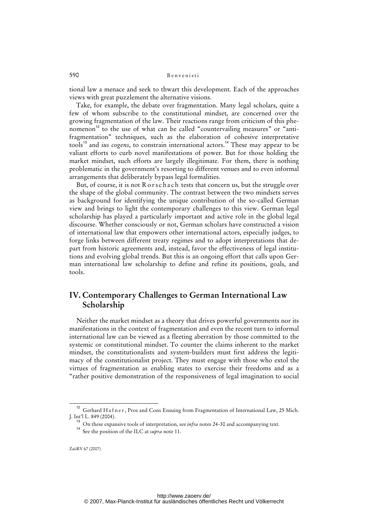tional law a menace and seek to thwart this development. Each of the approaches views with great puzzlement the alternative visions.

Take, for example, the debate over fragmentation. Many legal scholars, quite a few of whom subscribe to the constitutional mindset, are concerned over the growing fragmentation of the law. Their reactions range from criticism of this phenomenon<sup>12</sup> to the use of what can be called "countervailing measures" or "antifragmentation" techniques, such as the elaboration of cohesive interpretative tools<sup>13</sup> and *ius cogens*, to constrain international actors.<sup>14</sup> These may appear to be valiant efforts to curb novel manifestations of power. But for those holding the market mindset, such efforts are largely illegitimate. For them, there is nothing problematic in the government's resorting to different venues and to even informal arrangements that deliberately bypass legal formalities.

But, of course, it is not R or s chach tests that concern us, but the struggle over the shape of the global community. The contrast between the two mindsets serves as background for identifying the unique contribution of the so-called German view and brings to light the contemporary challenges to this view. German legal scholarship has played a particularly important and active role in the global legal discourse. Whether consciously or not, German scholars have constructed a vision of international law that empowers other international actors, especially judges, to forge links between different treaty regimes and to adopt interpretations that depart from historic agreements and, instead, favor the effectiveness of legal institutions and evolving global trends. But this is an ongoing effort that calls upon German international law scholarship to define and refine its positions, goals, and tools.

# **IV. Contemporary Challenges to German International Law Scholarship**

Neither the market mindset as a theory that drives powerful governments nor its manifestations in the context of fragmentation and even the recent turn to informal international law can be viewed as a fleeting aberration by those committed to the systemic or constitutional mindset. To counter the claims inherent to the market mindset, the constitutionalists and system-builders must first address the legitimacy of the constitutionalist project. They must engage with those who extol the virtues of fragmentation as enabling states to exercise their freedoms and as a "rather positive demonstration of the responsiveness of legal imagination to social

<sup>&</sup>lt;sup>12</sup> Gerhard H a f n e r, Pros and Cons Ensuing from Fragmentation of International Law, 25 Mich. J. Int'l L. 849 (2004).

<sup>&</sup>lt;sup>13</sup> On these expansive tools of interpretation, see *infra* notes 24-30 and accompanying text.

<sup>14</sup> See the position of the ILC at *supra* note 11.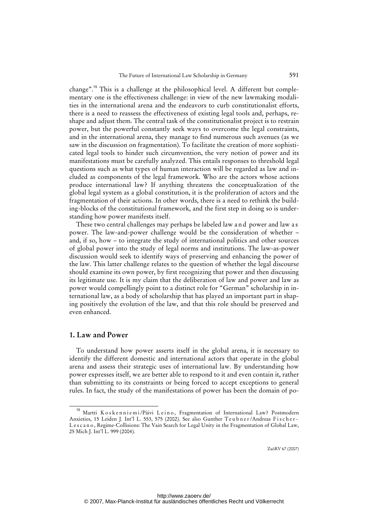change".<sup>15</sup> This is a challenge at the philosophical level. A different but complementary one is the effectiveness challenge: in view of the new lawmaking modalities in the international arena and the endeavors to curb constitutionalist efforts, there is a need to reassess the effectiveness of existing legal tools and, perhaps, reshape and adjust them. The central task of the constitutionalist project is to restrain power, but the powerful constantly seek ways to overcome the legal constraints, and in the international arena, they manage to find numerous such avenues (as we saw in the discussion on fragmentation). To facilitate the creation of more sophisticated legal tools to hinder such circumvention, the very notion of power and its manifestations must be carefully analyzed. This entails responses to threshold legal questions such as what types of human interaction will be regarded as law and included as components of the legal framework. Who are the actors whose actions produce international law? If anything threatens the conceptualization of the global legal system as a global constitution, it is the proliferation of actors and the fragmentation of their actions. In other words, there is a need to rethink the building-blocks of the constitutional framework, and the first step in doing so is understanding how power manifests itself.

These two central challenges may perhaps be labeled law a n d power and law a s power. The law-and-power challenge would be the consideration of whether – and, if so, how – to integrate the study of international politics and other sources of global power into the study of legal norms and institutions. The law-as-power discussion would seek to identify ways of preserving and enhancing the power of the law. This latter challenge relates to the question of whether the legal discourse should examine its own power, by first recognizing that power and then discussing its legitimate use. It is my claim that the deliberation of law and power and law as power would compellingly point to a distinct role for "German" scholarship in international law, as a body of scholarship that has played an important part in shaping positively the evolution of the law, and that this role should be preserved and even enhanced.

## **1. Law and Power**

To understand how power asserts itself in the global arena, it is necessary to identify the different domestic and international actors that operate in the global arena and assess their strategic uses of international law. By understanding how power expresses itself, we are better able to respond to it and even contain it, rather than submitting to its constraints or being forced to accept exceptions to general rules. In fact, the study of the manifestations of power has been the domain of po-

Martti Koskenniemi/Päivi Leino, Fragmentation of International Law? Postmodern Anxieties, 15 Leiden J. Int'l L. 553, 575 (2002). See also Gunther Teubner/Andreas Fischer-L e s c a n o , Regime-Collisions: The Vain Search for Legal Unity in the Fragmentation of Global Law, 25 Mich J. Int'l L. 999 (2004).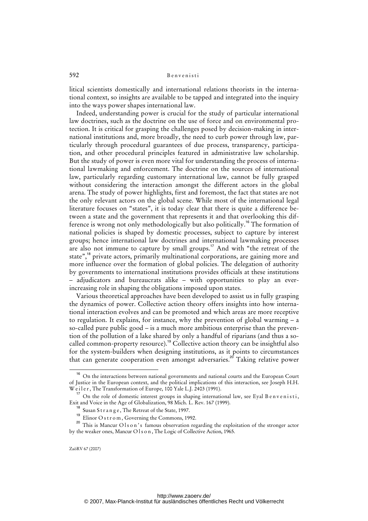litical scientists domestically and international relations theorists in the international context, so insights are available to be tapped and integrated into the inquiry into the ways power shapes international law.

Indeed, understanding power is crucial for the study of particular international law doctrines, such as the doctrine on the use of force and on environmental protection. It is critical for grasping the challenges posed by decision-making in international institutions and, more broadly, the need to curb power through law, particularly through procedural guarantees of due process, transparency, participation, and other procedural principles featured in administrative law scholarship. But the study of power is even more vital for understanding the process of international lawmaking and enforcement. The doctrine on the sources of international law, particularly regarding customary international law, cannot be fully grasped without considering the interaction amongst the different actors in the global arena. The study of power highlights, first and foremost, the fact that states are not the only relevant actors on the global scene. While most of the international legal literature focuses on "states", it is today clear that there is quite a difference between a state and the government that represents it and that overlooking this difference is wrong not only methodologically but also politically.<sup>16</sup> The formation of national policies is shaped by domestic processes, subject to capture by interest groups; hence international law doctrines and international lawmaking processes are also not immune to capture by small groups.<sup>17</sup> And with "the retreat of the state",<sup>18</sup> private actors, primarily multinational corporations, are gaining more and more influence over the formation of global policies. The delegation of authority by governments to international institutions provides officials at these institutions – adjudicators and bureaucrats alike – with opportunities to play an everincreasing role in shaping the obligations imposed upon states.

Various theoretical approaches have been developed to assist us in fully grasping the dynamics of power. Collective action theory offers insights into how international interaction evolves and can be promoted and which areas are more receptive to regulation. It explains, for instance, why the prevention of global warming – a so-called pure public good – is a much more ambitious enterprise than the prevention of the pollution of a lake shared by only a handful of riparians (and thus a socalled common-property resource).<sup>19</sup> Collective action theory can be insightful also for the system-builders when designing institutions, as it points to circumstances that can generate cooperation even amongst adversaries.<sup>20</sup> Taking relative power

<sup>&</sup>lt;sup>16</sup> On the interactions between national governments and national courts and the European Court of Justice in the European context, and the political implications of this interaction, see Joseph H.H. Weiler, The Transformation of Europe, 100 Yale L.J. 2403 (1991).

 $17$  On the role of domestic interest groups in shaping international law, see Eyal B envenisti, Exit and Voice in the Age of Globalization, 98 Mich. L. Rev. 167 (1999).

<sup>&</sup>lt;sup>18</sup> Susan Strange, The Retreat of the State, 1997.

<sup>&</sup>lt;sup>19</sup> Elinor O s t r o m, Governing the Commons, 1992.

<sup>&</sup>lt;sup>20</sup> This is Mancur O l s o n's famous observation regarding the exploitation of the stronger actor by the weaker ones, Mancur O l s o n , The Logic of Collective Action, 1965.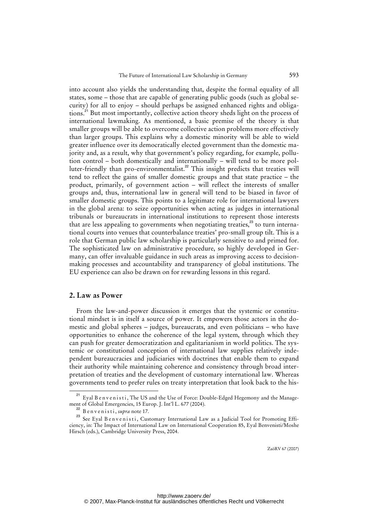into account also yields the understanding that, despite the formal equality of all states, some – those that are capable of generating public goods (such as global security) for all to enjoy – should perhaps be assigned enhanced rights and obligations.<sup>21</sup> But most importantly, collective action theory sheds light on the process of international lawmaking. As mentioned, a basic premise of the theory is that smaller groups will be able to overcome collective action problems more effectively than larger groups. This explains why a domestic minority will be able to wield greater influence over its democratically elected government than the domestic majority and, as a result, why that government's policy regarding, for example, pollution control – both domestically and internationally – will tend to be more polluter-friendly than pro-environmentalist.<sup>22</sup> This insight predicts that treaties will tend to reflect the gains of smaller domestic groups and that state practice – the product, primarily, of government action – will reflect the interests of smaller groups and, thus, international law in general will tend to be biased in favor of smaller domestic groups. This points to a legitimate role for international lawyers in the global arena: to seize opportunities when acting as judges in international tribunals or bureaucrats in international institutions to represent those interests that are less appealing to governments when negotiating treaties, $^{23}$  to turn international courts into venues that counterbalance treaties' pro-small group tilt. This is a role that German public law scholarship is particularly sensitive to and primed for. The sophisticated law on administrative procedure, so highly developed in Germany, can offer invaluable guidance in such areas as improving access to decisionmaking processes and accountability and transparency of global institutions. The EU experience can also be drawn on for rewarding lessons in this regard.

## **2. Law as Power**

From the law-and-power discussion it emerges that the systemic or constitutional mindset is in itself a source of power. It empowers those actors in the domestic and global spheres – judges, bureaucrats, and even politicians – who have opportunities to enhance the coherence of the legal system, through which they can push for greater democratization and egalitarianism in world politics. The systemic or constitutional conception of international law supplies relatively independent bureaucracies and judiciaries with doctrines that enable them to expand their authority while maintaining coherence and consistency through broad interpretation of treaties and the development of customary international law. Whereas governments tend to prefer rules on treaty interpretation that look back to the his-

<sup>&</sup>lt;sup>21</sup> Eyal B envenisti, The US and the Use of Force: Double-Edged Hegemony and the Management of Global Emergencies, 15 Europ. J. Int'l L. 677 (2004).

<sup>&</sup>lt;sup>2</sup> B e n v e n i s t i , *supra* note 17.

<sup>&</sup>lt;sup>23</sup> See Eyal B envenisti, Customary International Law as a Judicial Tool for Promoting Efficiency, in: The Impact of International Law on International Cooperation 85, Eyal Benvenisti/Moshe Hirsch (eds.), Cambridge University Press, 2004.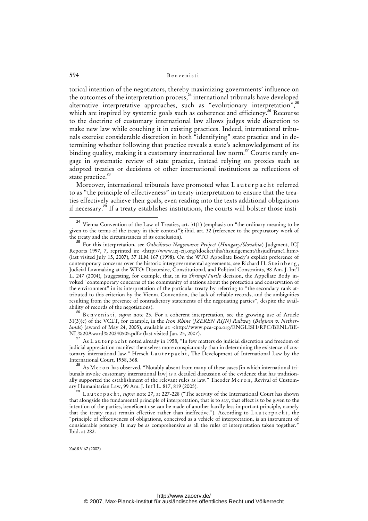torical intention of the negotiators, thereby maximizing governments' influence on the outcomes of the interpretation process,<sup>24</sup> international tribunals have developed alternative interpretative approaches, such as "evolutionary interpretation",<sup>25</sup> which are inspired by systemic goals such as coherence and efficiency.<sup>26</sup> Recourse to the doctrine of customary international law allows judges wide discretion to make new law while couching it in existing practices. Indeed, international tribunals exercise considerable discretion in both "identifying" state practice and in determining whether following that practice reveals a state's acknowledgement of its binding quality, making it a customary international law norm.<sup>27</sup> Courts rarely engage in systematic review of state practice, instead relying on proxies such as adopted treaties or decisions of other international institutions as reflections of state practice.<sup>28</sup>

Moreover, international tribunals have promoted what Lauterpacht referred to as "the principle of effectiveness" in treaty interpretation to ensure that the treaties effectively achieve their goals, even reading into the texts additional obligations if necessary.<sup>29</sup> If a treaty establishes institutions, the courts will bolster those insti-

<sup>26</sup> B e n v e n i s t i, *supra* note 23. For a coherent interpretation, see the growing use of Article 31(3)(c) of the VCLT, for example, in the *Iron Rhine (JZEREN RIJN) Railway* (*Belgium v. Netherlands*) (award of May 24, 2005), available at: *<*http://www.pca-cpa.org/ENGLISH/RPC/BENL/BE-[NL%20Award%20240505.pdf> \(last visited Jan. 25, 2007\).](http://www.pca-cpa.org/ENGLISH/RPC/BENL/BE-NL%) 

<sup>27</sup> As L a u t e r p a c h t noted already in 1958, "In few matters do judicial discretion and freedom of judicial appreciation manifest themselves more conspicuously than in determining the existence of customary international law." Hersch Lauterpacht, The Development of International Law by the International Court, 1958, 368.

 $^{28}$  As M e r o n has observed, "Notably absent from many of these cases [in which international tribunals invoke customary international law] is a detailed discussion of the evidence that has traditionally supported the establishment of the relevant rules as law." Theoder M e r on, Revival of Customary Humanitarian Law, 99 Am. J. Int'l L. 817, 819 (2005).

<sup>29</sup> L a u t e r p a c h t , *supra* note 27, at 227-228 ("The activity of the International Court has shown that alongside the fundamental principle of interpretation, that is to say, that effect is to be given to the intention of the parties, beneficent use can be made of another hardly less important principle, namely that the treaty must remain effective rather than ineffective."). According to Lauterpacht, the "principle of effectiveness of obligations, conceived as a vehicle of interpretation, is an instrument of considerable potency. It may be as comprehensive as all the rules of interpretation taken together." Ibid. at 282.

Vienna Convention of the Law of Treaties, art. 31(1) (emphasis on "the ordinary meaning to be given to the terms of the treaty in their context"); ibid. art. 32 (reference to the preparatory work of the treaty and the circumstances of its conclusion).

<sup>25</sup> For this interpretation, see *Gabcikovo-Nagymaros Project* (*Hungary/Slovakia*) Judgment, ICJ Reports 1997, 7, reprinted in: [<http://www.icj-cij.org/idocket/ihs/ihsjudgement/ihsjudframe1.htm>](http://www.icj-cij.org/idocket/ihs/ihsjudgement/ihsjudframe1.htm) (last visited July 15, 2007), 37 ILM 167 (1998). On the WTO Appellate Body's explicit preference of contemporary concerns over the historic intergovernmental agreements, see Richard H. S t e in b e r g, Judicial Lawmaking at the WTO: Discursive, Constitutional, and Political Constraints, 98 Am. J. Int'l L. 247 (2004), (suggesting, for example, that, in its *Shrimp/Turtle* decision, the Appellate Body invoked "contemporary concerns of the community of nations about the protection and conservation of the environment" in its interpretation of the particular treaty by referring to "the secondary rank attributed to this criterion by the Vienna Convention, the lack of reliable records, and the ambiguities resulting from the presence of contradictory statements of the negotiating parties", despite the availability of records of the negotiations).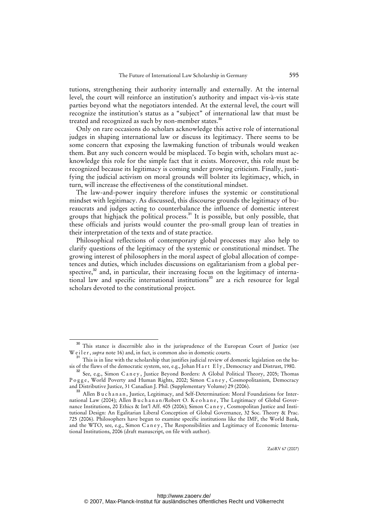tutions, strengthening their authority internally and externally. At the internal level, the court will reinforce an institution's authority and impact vis-à-vis state parties beyond what the negotiators intended. At the external level, the court will recognize the institution's status as a "subject" of international law that must be treated and recognized as such by non-member states.<sup>30</sup>

Only on rare occasions do scholars acknowledge this active role of international judges in shaping international law or discuss its legitimacy. There seems to be some concern that exposing the lawmaking function of tribunals would weaken them. But any such concern would be misplaced. To begin with, scholars must acknowledge this role for the simple fact that it exists. Moreover, this role must be recognized because its legitimacy is coming under growing criticism. Finally, justifying the judicial activism on moral grounds will bolster its legitimacy, which, in turn, will increase the effectiveness of the constitutional mindset.

The law-and-power inquiry therefore infuses the systemic or constitutional mindset with legitimacy. As discussed, this discourse grounds the legitimacy of bureaucrats and judges acting to counterbalance the influence of domestic interest groups that highjack the political process.<sup>31</sup> It is possible, but only possible, that these officials and jurists would counter the pro-small group lean of treaties in their interpretation of the texts and of state practice.

Philosophical reflections of contemporary global processes may also help to clarify questions of the legitimacy of the systemic or constitutional mindset. The growing interest of philosophers in the moral aspect of global allocation of competences and duties, which includes discussions on egalitarianism from a global perspective, $32$  and, in particular, their increasing focus on the legitimacy of international law and specific international institutions<sup>33</sup> are a rich resource for legal scholars devoted to the constitutional project.

<sup>&</sup>lt;sup>30</sup> This stance is discernible also in the jurisprudence of the European Court of Justice (see W e il e r, *supra* note 16) and, in fact, is common also in domestic courts.

<sup>&</sup>lt;sup>31</sup> This is in line with the scholarship that justifies judicial review of domestic legislation on the basis of the flaws of the democratic system, see, e.g., Johan H a r t Ely, Democracy and Distrust, 1980.

<sup>&</sup>lt;sup>32</sup> See, e.g., Simon C a n e y , Justice Beyond Borders: A Global Political Theory, 2005; Thomas Pogge, World Poverty and Human Rights, 2002; Simon Caney, Cosmopolitanism, Democracy and Distributive Justice, 31 Canadian J. Phil. (Supplementary Volume) 29 (2006).

Allen B u c h a n a n, Justice, Legitimacy, and Self-Determination: Moral Foundations for International Law (2004); Allen Buchanan/Robert O. Keohane, The Legitimacy of Global Governance Institutions, 20 Ethics & Int'l Aff. 405 (2006); Simon C a n e y , Cosmopolitan Justice and Institutional Design: An Egalitarian Liberal Conception of Global Governance, 32 Soc. Theory & Prac. 725 (2006). Philosophers have begun to examine specific institutions like the IMF, the World Bank, and the WTO, see, e.g., Simon Caney, The Responsibilities and Legitimacy of Economic International Institutions, 2006 (draft manuscript, on file with author).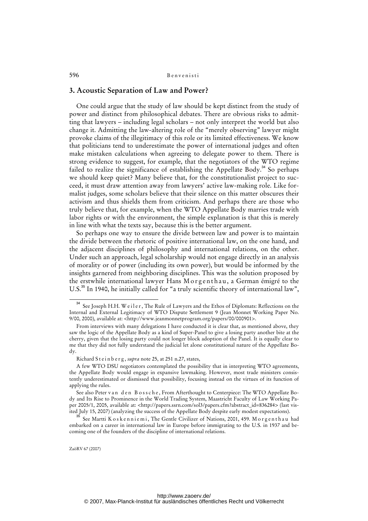## **3. Acoustic Separation of Law and Power?**

One could argue that the study of law should be kept distinct from the study of power and distinct from philosophical debates. There are obvious risks to admitting that lawyers – including legal scholars – not only interpret the world but also change it. Admitting the law-altering role of the "merely observing" lawyer might provoke claims of the illegitimacy of this role or its limited effectiveness. We know that politicians tend to underestimate the power of international judges and often make mistaken calculations when agreeing to delegate power to them. There is strong evidence to suggest, for example, that the negotiators of the WTO regime failed to realize the significance of establishing the Appellate Body.<sup>34</sup> So perhaps we should keep quiet? Many believe that, for the constitutionalist project to succeed, it must draw attention away from lawyers' active law-making role. Like formalist judges, some scholars believe that their silence on this matter obscures their activism and thus shields them from criticism. And perhaps there are those who truly believe that, for example, when the WTO Appellate Body marries trade with labor rights or with the environment, the simple explanation is that this is merely in line with what the texts say, because this is the better argument.

So perhaps one way to ensure the divide between law and power is to maintain the divide between the rhetoric of positive international law, on the one hand, and the adjacent disciplines of philosophy and international relations, on the other. Under such an approach, legal scholarship would not engage directly in an analysis of morality or of power (including its own power), but would be informed by the insights garnered from neighboring disciplines. This was the solution proposed by the erstwhile international lawyer Hans Morgenthau, a German émigré to the U.S.<sup>35</sup> In 1940, he initially called for "a truly scientific theory of international law",

See Joseph H.H. W e il e r, The Rule of Lawyers and the Ethos of Diplomats: Reflections on the Internal and External Legitimacy of WTO Dispute Settlement 9 (Jean Monnet Working Paper No. 9/00, 2000), available at: <<http://www.jeanmonnetprogram.org/papers/00/000901>>.

From interviews with many delegations I have conducted it is clear that, as mentioned above, they saw the logic of the Appellate Body as a kind of Super-Panel to give a losing party another bite at the cherry, given that the losing party could not longer block adoption of the Panel. It is equally clear to me that they did not fully understand the judicial let alone constitutional nature of the Appellate Body.

Richard Steinberg, *supra* note 25, at 251 n.27, states,

A few WTO DSU negotiators contemplated the possibility that in interpreting WTO agreements, the Appellate Body would engage in expansive lawmaking. However, most trade ministers consistently underestimated or dismissed that possibility, focusing instead on the virtues of its function of applying the rules.

See also Peter v an d en B o s s c h e, From Afterthought to Centerpiece: The WTO Appellate Body and Its Rise to Prominence in the World Trading System, Maastricht Faculty of Law Working Paper 2005/1, 2005, available at: <[http://papers.ssrn.com/sol3/papers.cfm?abstract\\_id=836284>](http://papers.ssrn.com/sol3/papers.cfm?abstract_id=836284) (last visited July 15, 2007) (analyzing the success of the Appellate Body despite early modest expectations).

See Martti K o s k e n n i e m i, The Gentle Civilizer of Nations, 2001, 459. M o r g e n t h a u had embarked on a career in international law in Europe before immigrating to the U.S. in 1937 and becoming one of the founders of the discipline of international relations.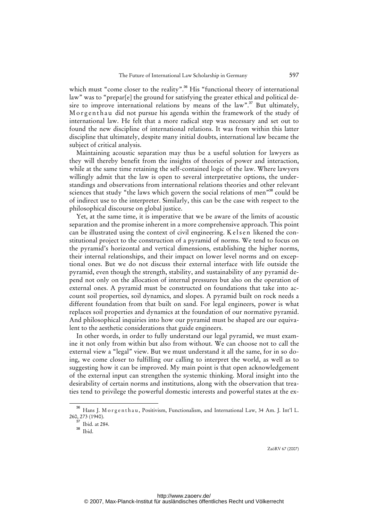which must "come closer to the reality".<sup>36</sup> His "functional theory of international law" was to "prepar[e] the ground for satisfying the greater ethical and political desire to improve international relations by means of the law".<sup>37</sup> But ultimately, Morgenthau did not pursue his agenda within the framework of the study of international law. He felt that a more radical step was necessary and set out to found the new discipline of international relations. It was from within this latter discipline that ultimately, despite many initial doubts, international law became the subject of critical analysis.

Maintaining acoustic separation may thus be a useful solution for lawyers as they will thereby benefit from the insights of theories of power and interaction, while at the same time retaining the self-contained logic of the law. Where lawyers willingly admit that the law is open to several interpretative options, the understandings and observations from international relations theories and other relevant sciences that study "the laws which govern the social relations of men"<sup>38</sup> could be of indirect use to the interpreter. Similarly, this can be the case with respect to the philosophical discourse on global justice.

Yet, at the same time, it is imperative that we be aware of the limits of acoustic separation and the promise inherent in a more comprehensive approach. This point can be illustrated using the context of civil engineering. K elsen likened the constitutional project to the construction of a pyramid of norms. We tend to focus on the pyramid's horizontal and vertical dimensions, establishing the higher norms, their internal relationships, and their impact on lower level norms and on exceptional ones. But we do not discuss their external interface with life outside the pyramid, even though the strength, stability, and sustainability of any pyramid depend not only on the allocation of internal pressures but also on the operation of external ones. A pyramid must be constructed on foundations that take into account soil properties, soil dynamics, and slopes. A pyramid built on rock needs a different foundation from that built on sand. For legal engineers, power is what replaces soil properties and dynamics at the foundation of our normative pyramid. And philosophical inquiries into how our pyramid must be shaped are our equivalent to the aesthetic considerations that guide engineers.

In other words, in order to fully understand our legal pyramid, we must examine it not only from within but also from without. We can choose not to call the external view a "legal" view. But we must understand it all the same, for in so doing, we come closer to fulfilling our calling to interpret the world, as well as to suggesting how it can be improved. My main point is that open acknowledgement of the external input can strengthen the systemic thinking. Moral insight into the desirability of certain norms and institutions, along with the observation that treaties tend to privilege the powerful domestic interests and powerful states at the ex-

<sup>&</sup>lt;sup>36</sup> Hans I. Morgenthau, Positivism, Functionalism, and International Law, 34 Am. J. Int'l L. 260, 273 (1940).

 $37$  Ibid. at 284.

<sup>38</sup> Ibid.